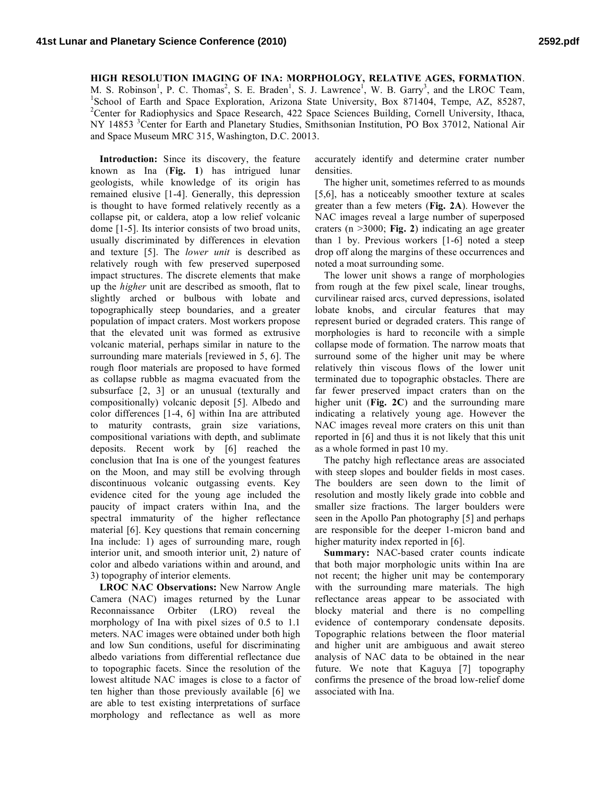## **HIGH RESOLUTION IMAGING OF INA: MORPHOLOGY, RELATIVE AGES, FORMATION**. M. S. Robinson<sup>1</sup>, P. C. Thomas<sup>2</sup>, S. E. Braden<sup>1</sup>, S. J. Lawrence<sup>1</sup>, W. B. Garry<sup>3</sup>, and the LROC Team,

<sup>1</sup>School of Earth and Space Exploration, Arizona State University, Box 871404, Tempe, AZ, 85287, <sup>2</sup> Center for Radiophysics and Space Research, 422 Space Sciences Building, Cornell University, Ithaca, NY 14853<sup>3</sup> Center for Earth and Planetary Studies, Smithsonian Institution, PO Box 37012, National Air and Space Museum MRC 315, Washington, D.C. 20013.

**Introduction:** Since its discovery, the feature known as Ina (**Fig. 1**) has intrigued lunar geologists, while knowledge of its origin has remained elusive [1-4]. Generally, this depression is thought to have formed relatively recently as a collapse pit, or caldera, atop a low relief volcanic dome [1-5]. Its interior consists of two broad units, usually discriminated by differences in elevation and texture [5]. The *lower unit* is described as relatively rough with few preserved superposed impact structures. The discrete elements that make up the *higher* unit are described as smooth, flat to slightly arched or bulbous with lobate and topographically steep boundaries, and a greater population of impact craters. Most workers propose that the elevated unit was formed as extrusive volcanic material, perhaps similar in nature to the surrounding mare materials [reviewed in 5, 6]. The rough floor materials are proposed to have formed as collapse rubble as magma evacuated from the subsurface [2, 3] or an unusual (texturally and compositionally) volcanic deposit [5]. Albedo and color differences [1-4, 6] within Ina are attributed to maturity contrasts, grain size variations, compositional variations with depth, and sublimate deposits. Recent work by [6] reached the conclusion that Ina is one of the youngest features on the Moon, and may still be evolving through discontinuous volcanic outgassing events. Key evidence cited for the young age included the paucity of impact craters within Ina, and the spectral immaturity of the higher reflectance material [6]. Key questions that remain concerning Ina include: 1) ages of surrounding mare, rough interior unit, and smooth interior unit, 2) nature of color and albedo variations within and around, and 3) topography of interior elements.

**LROC NAC Observations:** New Narrow Angle Camera (NAC) images returned by the Lunar Reconnaissance Orbiter (LRO) reveal the morphology of Ina with pixel sizes of 0.5 to 1.1 meters. NAC images were obtained under both high and low Sun conditions, useful for discriminating albedo variations from differential reflectance due to topographic facets. Since the resolution of the lowest altitude NAC images is close to a factor of ten higher than those previously available [6] we are able to test existing interpretations of surface morphology and reflectance as well as more accurately identify and determine crater number densities.

The higher unit, sometimes referred to as mounds [5,6], has a noticeably smoother texture at scales greater than a few meters (**Fig. 2A**). However the NAC images reveal a large number of superposed craters (n >3000; **Fig. 2**) indicating an age greater than 1 by. Previous workers [1-6] noted a steep drop off along the margins of these occurrences and noted a moat surrounding some.

The lower unit shows a range of morphologies from rough at the few pixel scale, linear troughs, curvilinear raised arcs, curved depressions, isolated lobate knobs, and circular features that may represent buried or degraded craters. This range of morphologies is hard to reconcile with a simple collapse mode of formation. The narrow moats that surround some of the higher unit may be where relatively thin viscous flows of the lower unit terminated due to topographic obstacles. There are far fewer preserved impact craters than on the higher unit (**Fig. 2C**) and the surrounding mare indicating a relatively young age. However the NAC images reveal more craters on this unit than reported in [6] and thus it is not likely that this unit as a whole formed in past 10 my.

The patchy high reflectance areas are associated with steep slopes and boulder fields in most cases. The boulders are seen down to the limit of resolution and mostly likely grade into cobble and smaller size fractions. The larger boulders were seen in the Apollo Pan photography [5] and perhaps are responsible for the deeper 1-micron band and higher maturity index reported in [6].

**Summary:** NAC-based crater counts indicate that both major morphologic units within Ina are not recent; the higher unit may be contemporary with the surrounding mare materials. The high reflectance areas appear to be associated with blocky material and there is no compelling evidence of contemporary condensate deposits. Topographic relations between the floor material and higher unit are ambiguous and await stereo analysis of NAC data to be obtained in the near future. We note that Kaguya [7] topography confirms the presence of the broad low-relief dome associated with Ina.